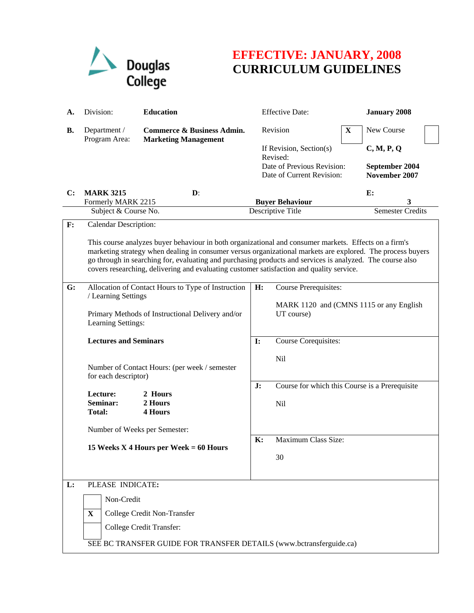

## **EFFECTIVE: JANUARY, 2008 CURRICULUM GUIDELINES**

| А. | Division:                                                                                                                                                                                                                                                                                                                                                                                                                                                    | <b>Education</b>                                                                                                              | <b>Effective Date:</b>          |                                                                                                | <b>January 2008</b>                            |                                               |  |  |
|----|--------------------------------------------------------------------------------------------------------------------------------------------------------------------------------------------------------------------------------------------------------------------------------------------------------------------------------------------------------------------------------------------------------------------------------------------------------------|-------------------------------------------------------------------------------------------------------------------------------|---------------------------------|------------------------------------------------------------------------------------------------|------------------------------------------------|-----------------------------------------------|--|--|
| В. | Department /<br>Program Area:                                                                                                                                                                                                                                                                                                                                                                                                                                | <b>Commerce &amp; Business Admin.</b><br><b>Marketing Management</b>                                                          |                                 | Revision                                                                                       | $\mathbf X$                                    | New Course                                    |  |  |
|    |                                                                                                                                                                                                                                                                                                                                                                                                                                                              |                                                                                                                               |                                 | If Revision, Section(s)<br>Revised:<br>Date of Previous Revision:<br>Date of Current Revision: |                                                | C, M, P, Q<br>September 2004<br>November 2007 |  |  |
| C: | <b>MARK 3215</b><br>Formerly MARK 2215                                                                                                                                                                                                                                                                                                                                                                                                                       | $\mathbf{D}$ :                                                                                                                |                                 | <b>Buyer Behaviour</b>                                                                         |                                                | E:                                            |  |  |
|    | Subject & Course No.                                                                                                                                                                                                                                                                                                                                                                                                                                         |                                                                                                                               |                                 | Descriptive Title                                                                              |                                                | <b>Semester Credits</b>                       |  |  |
| F: | <b>Calendar Description:</b><br>This course analyzes buyer behaviour in both organizational and consumer markets. Effects on a firm's<br>marketing strategy when dealing in consumer versus organizational markets are explored. The process buyers<br>go through in searching for, evaluating and purchasing products and services is analyzed. The course also<br>covers researching, delivering and evaluating customer satisfaction and quality service. |                                                                                                                               |                                 |                                                                                                |                                                |                                               |  |  |
| G: | Learning Settings:                                                                                                                                                                                                                                                                                                                                                                                                                                           | Allocation of Contact Hours to Type of Instruction<br>/ Learning Settings<br>Primary Methods of Instructional Delivery and/or |                                 | <b>Course Prerequisites:</b><br>MARK 1120 and (CMNS 1115 or any English<br>UT course)          |                                                |                                               |  |  |
|    | <b>Lectures and Seminars</b><br>Number of Contact Hours: (per week / semester<br>for each descriptor)                                                                                                                                                                                                                                                                                                                                                        |                                                                                                                               | $\mathbf{I}$ :                  | Course Corequisites:                                                                           |                                                |                                               |  |  |
|    |                                                                                                                                                                                                                                                                                                                                                                                                                                                              |                                                                                                                               |                                 | <b>Nil</b>                                                                                     |                                                |                                               |  |  |
|    | Lecture:<br>Seminar:<br><b>Total:</b>                                                                                                                                                                                                                                                                                                                                                                                                                        | 2 Hours<br>2 Hours<br><b>4 Hours</b>                                                                                          | J:                              | <b>Nil</b>                                                                                     | Course for which this Course is a Prerequisite |                                               |  |  |
|    | Number of Weeks per Semester:<br>15 Weeks X 4 Hours per Week $= 60$ Hours                                                                                                                                                                                                                                                                                                                                                                                    |                                                                                                                               | Maximum Class Size:<br>K:<br>30 |                                                                                                |                                                |                                               |  |  |
| L: | PLEASE INDICATE:<br>Non-Credit<br>$\mathbf{X}$<br>College Credit Non-Transfer<br>College Credit Transfer:<br>SEE BC TRANSFER GUIDE FOR TRANSFER DETAILS (www.bctransferguide.ca)                                                                                                                                                                                                                                                                             |                                                                                                                               |                                 |                                                                                                |                                                |                                               |  |  |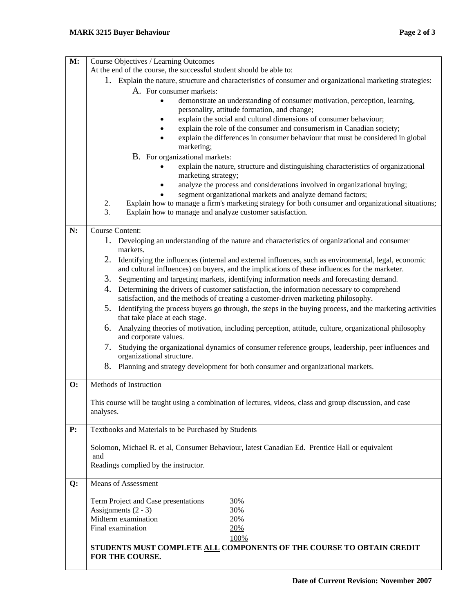| Course Objectives / Learning Outcomes                                                                                                                                                                     |  |  |  |  |  |
|-----------------------------------------------------------------------------------------------------------------------------------------------------------------------------------------------------------|--|--|--|--|--|
| At the end of the course, the successful student should be able to:                                                                                                                                       |  |  |  |  |  |
| 1. Explain the nature, structure and characteristics of consumer and organizational marketing strategies:                                                                                                 |  |  |  |  |  |
| A. For consumer markets:                                                                                                                                                                                  |  |  |  |  |  |
| demonstrate an understanding of consumer motivation, perception, learning,<br>personality, attitude formation, and change;                                                                                |  |  |  |  |  |
| explain the social and cultural dimensions of consumer behaviour;                                                                                                                                         |  |  |  |  |  |
| explain the role of the consumer and consumerism in Canadian society;                                                                                                                                     |  |  |  |  |  |
| explain the differences in consumer behaviour that must be considered in global<br>marketing;                                                                                                             |  |  |  |  |  |
| B. For organizational markets:                                                                                                                                                                            |  |  |  |  |  |
| explain the nature, structure and distinguishing characteristics of organizational<br>marketing strategy;                                                                                                 |  |  |  |  |  |
| analyze the process and considerations involved in organizational buying;                                                                                                                                 |  |  |  |  |  |
| segment organizational markets and analyze demand factors;                                                                                                                                                |  |  |  |  |  |
| Explain how to manage a firm's marketing strategy for both consumer and organizational situations;<br>2.                                                                                                  |  |  |  |  |  |
| 3.<br>Explain how to manage and analyze customer satisfaction.                                                                                                                                            |  |  |  |  |  |
| <b>Course Content:</b>                                                                                                                                                                                    |  |  |  |  |  |
| 1. Developing an understanding of the nature and characteristics of organizational and consumer<br>markets.                                                                                               |  |  |  |  |  |
| 2. Identifying the influences (internal and external influences, such as environmental, legal, economic<br>and cultural influences) on buyers, and the implications of these influences for the marketer. |  |  |  |  |  |
| 3. Segmenting and targeting markets, identifying information needs and forecasting demand.                                                                                                                |  |  |  |  |  |
| Determining the drivers of customer satisfaction, the information necessary to comprehend<br>4.<br>satisfaction, and the methods of creating a customer-driven marketing philosophy.                      |  |  |  |  |  |
| Identifying the process buyers go through, the steps in the buying process, and the marketing activities<br>5.<br>that take place at each stage.                                                          |  |  |  |  |  |
| Analyzing theories of motivation, including perception, attitude, culture, organizational philosophy<br>6.<br>and corporate values.                                                                       |  |  |  |  |  |
| 7.<br>Studying the organizational dynamics of consumer reference groups, leadership, peer influences and<br>organizational structure.                                                                     |  |  |  |  |  |
| 8.<br>Planning and strategy development for both consumer and organizational markets.                                                                                                                     |  |  |  |  |  |
| Methods of Instruction                                                                                                                                                                                    |  |  |  |  |  |
|                                                                                                                                                                                                           |  |  |  |  |  |
| This course will be taught using a combination of lectures, videos, class and group discussion, and case<br>analyses.                                                                                     |  |  |  |  |  |
|                                                                                                                                                                                                           |  |  |  |  |  |
| Textbooks and Materials to be Purchased by Students                                                                                                                                                       |  |  |  |  |  |
| Solomon, Michael R. et al, Consumer Behaviour, latest Canadian Ed. Prentice Hall or equivalent                                                                                                            |  |  |  |  |  |
| and<br>Readings complied by the instructor.                                                                                                                                                               |  |  |  |  |  |
|                                                                                                                                                                                                           |  |  |  |  |  |
| <b>Means of Assessment</b>                                                                                                                                                                                |  |  |  |  |  |
| Term Project and Case presentations<br>30%                                                                                                                                                                |  |  |  |  |  |
| Assignments $(2 - 3)$<br>30%                                                                                                                                                                              |  |  |  |  |  |
| Midterm examination<br>20%                                                                                                                                                                                |  |  |  |  |  |
| Final examination<br>20%                                                                                                                                                                                  |  |  |  |  |  |
| 100%                                                                                                                                                                                                      |  |  |  |  |  |
| STUDENTS MUST COMPLETE ALL COMPONENTS OF THE COURSE TO OBTAIN CREDIT<br>FOR THE COURSE.                                                                                                                   |  |  |  |  |  |
|                                                                                                                                                                                                           |  |  |  |  |  |